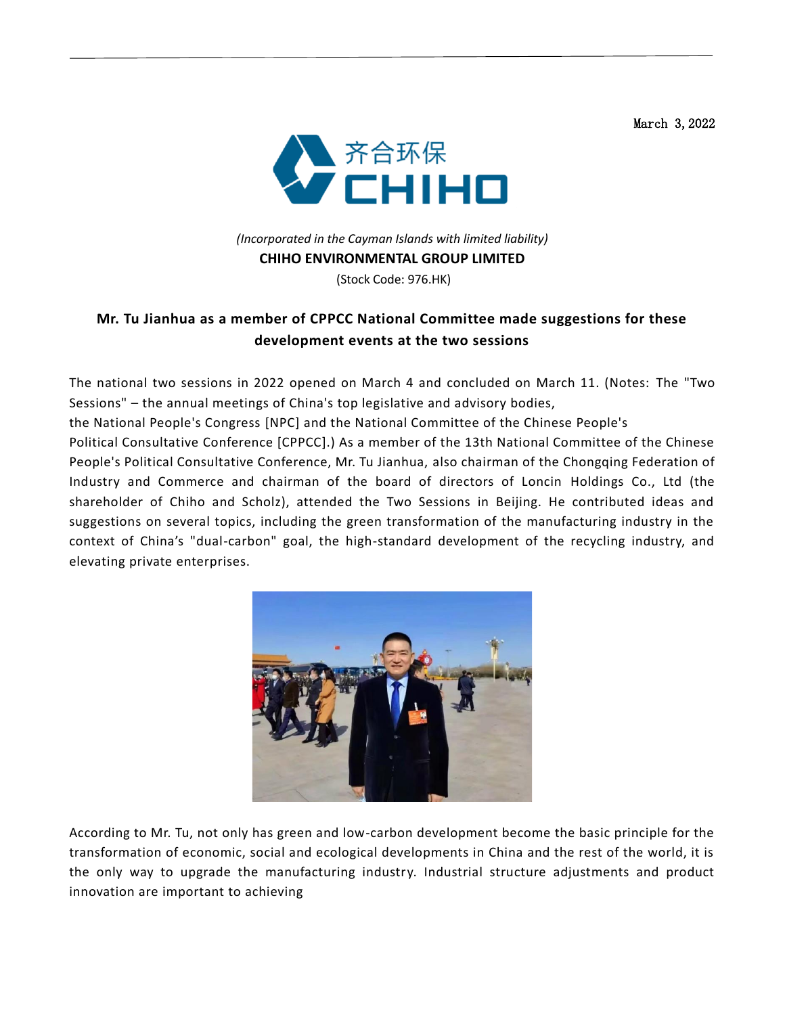March 3,2022



## *(Incorporated in the Cayman Islands with limited liability)*  **CHIHO ENVIRONMENTAL GROUP LIMITED**

(Stock Code: 976.HK)

## **Mr. Tu Jianhua as a member of CPPCC National Committee made suggestions for these development events at the two sessions**

The national two sessions in 2022 opened on March 4 and concluded on March 11. (Notes: The "Two Sessions" – the annual meetings of China's top legislative and advisory bodies,

the National People's Congress [NPC] and the National Committee of the Chinese People's

Political Consultative Conference [CPPCC].) As a member of the 13th National Committee of the Chinese People's Political Consultative Conference, Mr. Tu Jianhua, also chairman of the Chongqing Federation of Industry and Commerce and chairman of the board of directors of Loncin Holdings Co., Ltd (the shareholder of Chiho and Scholz), attended the Two Sessions in Beijing. He contributed ideas and suggestions on several topics, including the green transformation of the manufacturing industry in the context of China's "dual-carbon" goal, the high-standard development of the recycling industry, and elevating private enterprises.



According to Mr. Tu, not only has green and low-carbon development become the basic principle for the transformation of economic, social and ecological developments in China and the rest of the world, it is the only way to upgrade the manufacturing industry. Industrial structure adjustments and product innovation are important to achieving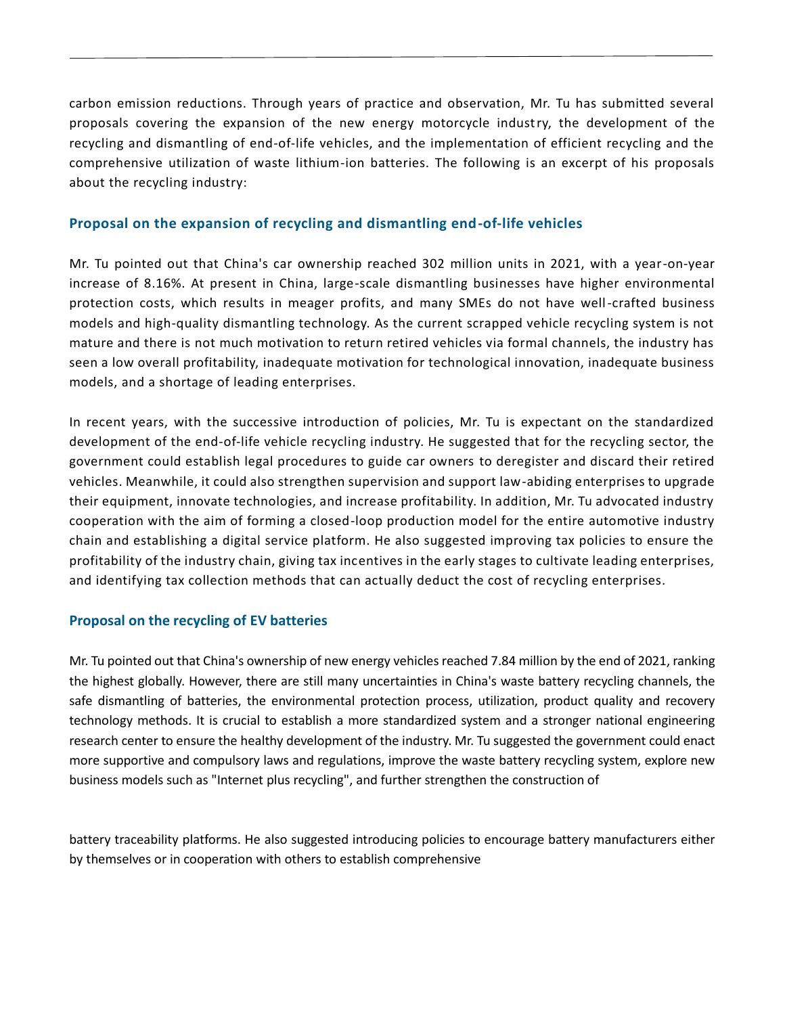carbon emission reductions. Through years of practice and observation, Mr. Tu has submitted several proposals covering the expansion of the new energy motorcycle industry, the development of the recycling and dismantling of end-of-life vehicles, and the implementation of efficient recycling and the comprehensive utilization of waste lithium-ion batteries. The following is an excerpt of his proposals about the recycling industry:

## **Proposal on the expansion of recycling and dismantling end-of-life vehicles**

Mr. Tu pointed out that China's car ownership reached 302 million units in 2021, with a year-on-year increase of 8.16%. At present in China, large-scale dismantling businesses have higher environmental protection costs, which results in meager profits, and many SMEs do not have well-crafted business models and high-quality dismantling technology. As the current scrapped vehicle recycling system is not mature and there is not much motivation to return retired vehicles via formal channels, the industry has seen a low overall profitability, inadequate motivation for technological innovation, inadequate business models, and a shortage of leading enterprises.

In recent years, with the successive introduction of policies, Mr. Tu is expectant on the standardized development of the end-of-life vehicle recycling industry. He suggested that for the recycling sector, the government could establish legal procedures to guide car owners to deregister and discard their retired vehicles. Meanwhile, it could also strengthen supervision and support law-abiding enterprises to upgrade their equipment, innovate technologies, and increase profitability. In addition, Mr. Tu advocated industry cooperation with the aim of forming a closed-loop production model for the entire automotive industry chain and establishing a digital service platform. He also suggested improving tax policies to ensure the profitability of the industry chain, giving tax incentives in the early stages to cultivate leading enterprises, and identifying tax collection methods that can actually deduct the cost of recycling enterprises.

## **Proposal on the recycling of EV batteries**

Mr. Tu pointed out that China's ownership of new energy vehicles reached 7.84 million by the end of 2021, ranking the highest globally. However, there are still many uncertainties in China's waste battery recycling channels, the safe dismantling of batteries, the environmental protection process, utilization, product quality and recovery technology methods. It is crucial to establish a more standardized system and a stronger national engineering research center to ensure the healthy development of the industry. Mr. Tu suggested the government could enact more supportive and compulsory laws and regulations, improve the waste battery recycling system, explore new business models such as "Internet plus recycling", and further strengthen the construction of

battery traceability platforms. He also suggested introducing policies to encourage battery manufacturers either by themselves or in cooperation with others to establish comprehensive